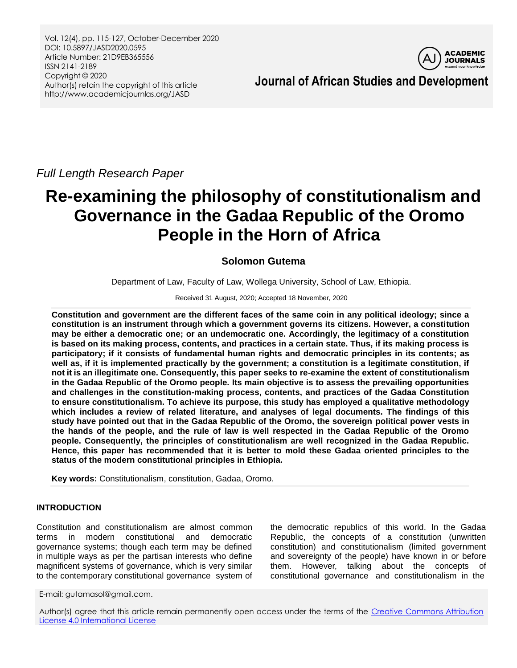Vol. 12(4), pp. 115-127, October-December 2020 DOI: 10.5897/JASD2020.0595 Article Number: 21D9EB365556 ISSN 2141-2189 Copyright © 2020 Author(s) retain the copyright of this article http://www.academicjournlas.org/JASD



**Journal of African Studies and Development**

*Full Length Research Paper*

# **Re-examining the philosophy of constitutionalism and Governance in the Gadaa Republic of the Oromo People in the Horn of Africa**

## **Solomon Gutema**

Department of Law, Faculty of Law, Wollega University, School of Law, Ethiopia.

Received 31 August, 2020; Accepted 18 November, 2020

**Constitution and government are the different faces of the same coin in any political ideology; since a constitution is an instrument through which a government governs its citizens. However, a constitution may be either a democratic one; or an undemocratic one. Accordingly, the legitimacy of a constitution is based on its making process, contents, and practices in a certain state. Thus, if its making process is participatory; if it consists of fundamental human rights and democratic principles in its contents; as well as, if it is implemented practically by the government; a constitution is a legitimate constitution, if not it is an illegitimate one. Consequently, this paper seeks to re-examine the extent of constitutionalism in the Gadaa Republic of the Oromo people. Its main objective is to assess the prevailing opportunities and challenges in the constitution-making process, contents, and practices of the Gadaa Constitution to ensure constitutionalism. To achieve its purpose, this study has employed a qualitative methodology which includes a review of related literature, and analyses of legal documents. The findings of this study have pointed out that in the Gadaa Republic of the Oromo, the sovereign political power vests in the hands of the people, and the rule of law is well respected in the Gadaa Republic of the Oromo people. Consequently, the principles of constitutionalism are well recognized in the Gadaa Republic. Hence, this paper has recommended that it is better to mold these Gadaa oriented principles to the status of the modern constitutional principles in Ethiopia.** 

**Key words:** Constitutionalism, constitution, Gadaa, Oromo.

## **INTRODUCTION**

Constitution and constitutionalism are almost common terms in modern constitutional and democratic governance systems; though each term may be defined in multiple ways as per the partisan interests who define magnificent systems of governance, which is very similar to the contemporary constitutional governance system of

E-mail: gutamasol@gmail.com.

the democratic republics of this world. In the Gadaa Republic, the concepts of a constitution (unwritten constitution) and constitutionalism (limited government and sovereignty of the people) have known in or before them. However, talking about the concepts of constitutional governance and constitutionalism in the

Author(s) agree that this article remain permanently open access under the terms of the Creative Commons Attribution [License 4.0 International License](http://creativecommons.org/licenses/by/4.0/deed.en_US)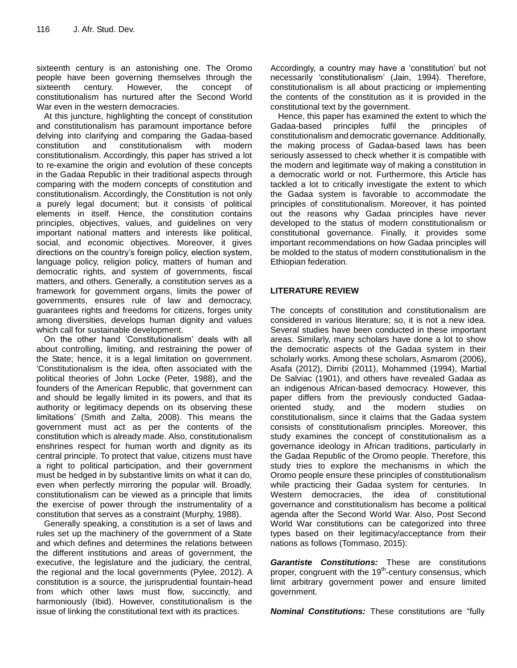sixteenth century is an astonishing one. The Oromo people have been governing themselves through the sixteenth century. However, the concept of constitutionalism has nurtured after the Second World War even in the western democracies.

At this juncture, highlighting the concept of constitution and constitutionalism has paramount importance before delving into clarifying and comparing the Gadaa-based constitution and constitutionalism with modern constitutionalism. Accordingly, this paper has strived a lot to re-examine the origin and evolution of these concepts in the Gadaa Republic in their traditional aspects through comparing with the modern concepts of constitution and constitutionalism. Accordingly, the Constitution is not only a purely legal document; but it consists of political elements in itself. Hence, the constitution contains principles, objectives, values, and guidelines on very important national matters and interests like political, social, and economic objectives. Moreover, it gives directions on the country"s foreign policy, election system, language policy, religion policy, matters of human and democratic rights, and system of governments, fiscal matters, and others. Generally, a constitution serves as a framework for government organs, limits the power of governments, ensures rule of law and democracy, guarantees rights and freedoms for citizens, forges unity among diversities, develops human dignity and values which call for sustainable development.

On the other hand "Constitutionalism" deals with all about controlling, limiting, and restraining the power of the State; hence, it is a legal limitation on government. "Constitutionalism is the idea, often associated with the political theories of John Locke (Peter, 1988), and the founders of the American Republic, that government can and should be legally limited in its powers, and that its authority or legitimacy depends on its observing these limitations" (Smith and Zalta, 2008). This means the government must act as per the contents of the constitution which is already made. Also, constitutionalism enshrines respect for human worth and dignity as its central principle. To protect that value, citizens must have a right to political participation, and their government must be hedged in by substantive limits on what it can do, even when perfectly mirroring the popular will. Broadly, constitutionalism can be viewed as a principle that limits the exercise of power through the instrumentality of a constitution that serves as a constraint (Murphy, 1988).

Generally speaking, a constitution is a set of laws and rules set up the machinery of the government of a State and which defines and determines the relations between the different institutions and areas of government, the executive, the legislature and the judiciary, the central, the regional and the local governments (Pylee, 2012). A constitution is a source, the jurisprudential fountain-head from which other laws must flow, succinctly, and harmoniously (Ibid). However, constitutionalism is the issue of linking the constitutional text with its practices.

Accordingly, a country may have a "constitution" but not necessarily "constitutionalism" (Jain, 1994). Therefore, constitutionalism is all about practicing or implementing the contents of the constitution as it is provided in the constitutional text by the government.

Hence, this paper has examined the extent to which the Gadaa-based principles fulfil the principles of constitutionalism and democratic governance. Additionally, the making process of Gadaa-based laws has been seriously assessed to check whether it is compatible with the modern and legitimate way of making a constitution in a democratic world or not. Furthermore, this Article has tackled a lot to critically investigate the extent to which the Gadaa system is favorable to accommodate the principles of constitutionalism. Moreover, it has pointed out the reasons why Gadaa principles have never developed to the status of modern constitutionalism or constitutional governance. Finally, it provides some important recommendations on how Gadaa principles will be molded to the status of modern constitutionalism in the Ethiopian federation.

## **LITERATURE REVIEW**

The concepts of constitution and constitutionalism are considered in various literature; so, it is not a new idea. Several studies have been conducted in these important areas. Similarly, many scholars have done a lot to show the democratic aspects of the Gadaa system in their scholarly works. Among these scholars, Asmarom (2006), Asafa (2012), Dirribi (2011), Mohammed (1994), Martial De Salviac (1901), and others have revealed Gadaa as an indigenous African-based democracy. However, this paper differs from the previously conducted Gadaaoriented study, and the modern studies on constitutionalism, since it claims that the Gadaa system consists of constitutionalism principles. Moreover, this study examines the concept of constitutionalism as a governance ideology in African traditions, particularly in the Gadaa Republic of the Oromo people. Therefore, this study tries to explore the mechanisms in which the Oromo people ensure these principles of constitutionalism while practicing their Gadaa system for centuries. In Western democracies, the idea of constitutional governance and constitutionalism has become a political agenda after the Second World War. Also, Post Second World War constitutions can be categorized into three types based on their legitimacy/acceptance from their nations as follows (Tommaso, 2015):

*Garantiste Constitutions:* These are constitutions proper, congruent with the 19<sup>th</sup>-century consensus, which limit arbitrary government power and ensure limited government.

*Nominal Constitutions:* These constitutions are "fully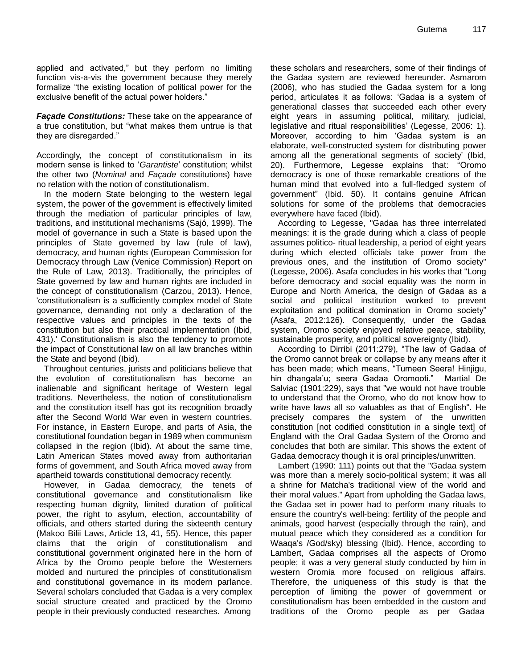applied and activated," but they perform no limiting function vis-a-vis the government because they merely formalize "the existing location of political power for the exclusive benefit of the actual power holders."

*Façade Constitutions:* These take on the appearance of a true constitution, but "what makes them untrue is that they are disregarded."

Accordingly, the concept of constitutionalism in its modern sense is linked to "*Garantiste*" constitution; whilst the other two (*Nominal* and *Façade* constitutions) have no relation with the notion of constitutionalism.

In the modern State belonging to the western legal system, the power of the government is effectively limited through the mediation of particular principles of law, traditions, and institutional mechanisms (Sajó, 1999). The model of governance in such a State is based upon the principles of State governed by law (rule of law), democracy, and human rights (European Commission for Democracy through Law (Venice Commission) Report on the Rule of Law, 2013). Traditionally, the principles of State governed by law and human rights are included in the concept of constitutionalism (Carzou, 2013). Hence, 'constitutionalism is a sufficiently complex model of State governance, demanding not only a declaration of the respective values and principles in the texts of the constitution but also their practical implementation (Ibid, 431).' Constitutionalism is also the tendency to promote the impact of Constitutional law on all law branches within the State and beyond (Ibid).

Throughout centuries, jurists and politicians believe that the evolution of constitutionalism has become an inalienable and significant heritage of Western legal traditions. Nevertheless, the notion of constitutionalism and the constitution itself has got its recognition broadly after the Second World War even in western countries. For instance, in Eastern Europe, and parts of Asia, the constitutional foundation began in 1989 when communism collapsed in the region (Ibid). At about the same time, Latin American States moved away from authoritarian forms of government, and South Africa moved away from apartheid towards constitutional democracy recently.

However, in Gadaa democracy, the tenets of constitutional governance and constitutionalism like respecting human dignity, limited duration of political power, the right to asylum, election, accountability of officials, and others started during the sixteenth century (Makoo Bilii Laws, Article 13, 41, 55). Hence, this paper claims that the origin of constitutionalism and constitutional government originated here in the horn of Africa by the Oromo people before the Westerners molded and nurtured the principles of constitutionalism and constitutional governance in its modern parlance. Several scholars concluded that Gadaa is a very complex social structure created and practiced by the Oromo people in their previously conducted researches. Among these scholars and researchers, some of their findings of the Gadaa system are reviewed hereunder. Asmarom (2006), who has studied the Gadaa system for a long period, articulates it as follows: "Gadaa is a system of generational classes that succeeded each other every eight years in assuming political, military, judicial, legislative and ritual responsibilities' (Legesse, 2006: 1). Moreover, according to him "Gadaa system is an elaborate, well-constructed system for distributing power among all the generational segments of society" (Ibid, 20). Furthermore, Legesse explains that: "Oromo democracy is one of those remarkable creations of the human mind that evolved into a full-fledged system of government" (Ibid. 50). It contains genuine African solutions for some of the problems that democracies everywhere have faced (Ibid).

According to Legesse, "Gadaa has three interrelated meanings: it is the grade during which a class of people assumes politico- ritual leadership, a period of eight years during which elected officials take power from the previous ones, and the institution of Oromo society" (Legesse, 2006). Asafa concludes in his works that "Long before democracy and social equality was the norm in Europe and North America, the design of Gadaa as a social and political institution worked to prevent exploitation and political domination in Oromo society" (Asafa, 2012:126). Consequently, under the Gadaa system, Oromo society enjoyed relative peace, stability, sustainable prosperity, and political sovereignty (Ibid).

According to Dirribi (2011:279), "The law of Gadaa of the Oromo cannot break or collapse by any means after it has been made; which means, "Tumeen Seera! Hinjigu, hin dhangala"u; seera Gadaa Oromooti." Martial De Salviac (1901:229), says that "we would not have trouble to understand that the Oromo, who do not know how to write have laws all so valuables as that of English". He precisely compares the system of the unwritten constitution [not codified constitution in a single text] of England with the Oral Gadaa System of the Oromo and concludes that both are similar. This shows the extent of Gadaa democracy though it is oral principles/unwritten.

Lambert (1990: 111) points out that the "Gadaa system was more than a merely socio-political system; it was all a shrine for Matcha's traditional view of the world and their moral values." Apart from upholding the Gadaa laws, the Gadaa set in power had to perform many rituals to ensure the country's well-being: fertility of the people and animals, good harvest (especially through the rain), and mutual peace which they considered as a condition for Waaqa's /God/sky) blessing (Ibid). Hence, according to Lambert, Gadaa comprises all the aspects of Oromo people; it was a very general study conducted by him in western Oromia more focused on religious affairs. Therefore, the uniqueness of this study is that the perception of limiting the power of government or constitutionalism has been embedded in the custom and traditions of the Oromo people as per Gadaa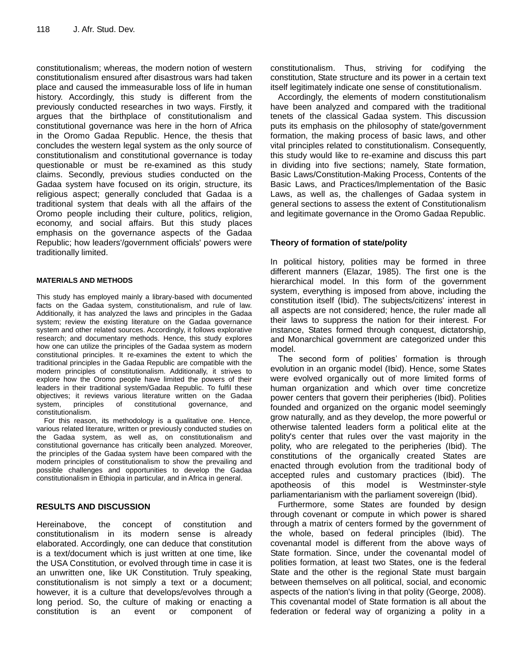constitutionalism; whereas, the modern notion of western constitutionalism ensured after disastrous wars had taken place and caused the immeasurable loss of life in human history. Accordingly, this study is different from the previously conducted researches in two ways. Firstly, it argues that the birthplace of constitutionalism and constitutional governance was here in the horn of Africa in the Oromo Gadaa Republic. Hence, the thesis that concludes the western legal system as the only source of constitutionalism and constitutional governance is today questionable or must be re-examined as this study claims. Secondly, previous studies conducted on the Gadaa system have focused on its origin, structure, its religious aspect; generally concluded that Gadaa is a traditional system that deals with all the affairs of the Oromo people including their culture, politics, religion, economy, and social affairs. But this study places emphasis on the governance aspects of the Gadaa Republic; how leaders'/government officials' powers were traditionally limited.

#### **MATERIALS AND METHODS**

This study has employed mainly a library-based with documented facts on the Gadaa system, constitutionalism, and rule of law. Additionally, it has analyzed the laws and principles in the Gadaa system; review the existing literature on the Gadaa governance system and other related sources. Accordingly, it follows explorative research; and documentary methods. Hence, this study explores how one can utilize the principles of the Gadaa system as modern constitutional principles. It re-examines the extent to which the traditional principles in the Gadaa Republic are compatible with the modern principles of constitutionalism. Additionally, it strives to explore how the Oromo people have limited the powers of their leaders in their traditional system/Gadaa Republic. To fulfil these objectives; it reviews various literature written on the Gadaa system, principles of constitutional governance, and constitutionalism.

For this reason, its methodology is a qualitative one. Hence, various related literature, written or previously conducted studies on the Gadaa system, as well as, on constitutionalism and constitutional governance has critically been analyzed. Moreover, the principles of the Gadaa system have been compared with the modern principles of constitutionalism to show the prevailing and possible challenges and opportunities to develop the Gadaa constitutionalism in Ethiopia in particular, and in Africa in general.

#### **RESULTS AND DISCUSSION**

Hereinabove, the concept of constitution and constitutionalism in its modern sense is already elaborated. Accordingly, one can deduce that constitution is a text/document which is just written at one time, like the USA Constitution, or evolved through time in case it is an unwritten one, like UK Constitution. Truly speaking, constitutionalism is not simply a text or a document; however, it is a culture that develops/evolves through a long period. So, the culture of making or enacting a constitution is an event or component of constitutionalism. Thus, striving for codifying the constitution, State structure and its power in a certain text itself legitimately indicate one sense of constitutionalism.

Accordingly, the elements of modern constitutionalism have been analyzed and compared with the traditional tenets of the classical Gadaa system. This discussion puts its emphasis on the philosophy of state/government formation, the making process of basic laws, and other vital principles related to constitutionalism. Consequently, this study would like to re-examine and discuss this part in dividing into five sections; namely, State formation, Basic Laws/Constitution-Making Process, Contents of the Basic Laws, and Practices/Implementation of the Basic Laws, as well as, the challenges of Gadaa system in general sections to assess the extent of Constitutionalism and legitimate governance in the Oromo Gadaa Republic.

## **Theory of formation of state/polity**

In political history, polities may be formed in three different manners (Elazar, 1985). The first one is the hierarchical model. In this form of the government system, everything is imposed from above, including the constitution itself (Ibid). The subjects/citizens' interest in all aspects are not considered; hence, the ruler made all their laws to suppress the nation for their interest. For instance, States formed through conquest, dictatorship, and Monarchical government are categorized under this model.

The second form of polities' formation is through evolution in an organic model (Ibid). Hence, some States were evolved organically out of more limited forms of human organization and which over time concretize power centers that govern their peripheries (Ibid). Polities founded and organized on the organic model seemingly grow naturally, and as they develop, the more powerful or otherwise talented leaders form a political elite at the polity's center that rules over the vast majority in the polity, who are relegated to the peripheries (Ibid). The constitutions of the organically created States are enacted through evolution from the traditional body of accepted rules and customary practices (Ibid). The apotheosis of this model is Westminster-style parliamentarianism with the parliament sovereign (Ibid).

Furthermore, some States are founded by design through covenant or compute in which power is shared through a matrix of centers formed by the government of the whole, based on federal principles (Ibid). The covenantal model is different from the above ways of State formation. Since, under the covenantal model of polities formation, at least two States, one is the federal State and the other is the regional State must bargain between themselves on all political, social, and economic aspects of the nation's living in that polity (George, 2008). This covenantal model of State formation is all about the federation or federal way of organizing a polity in a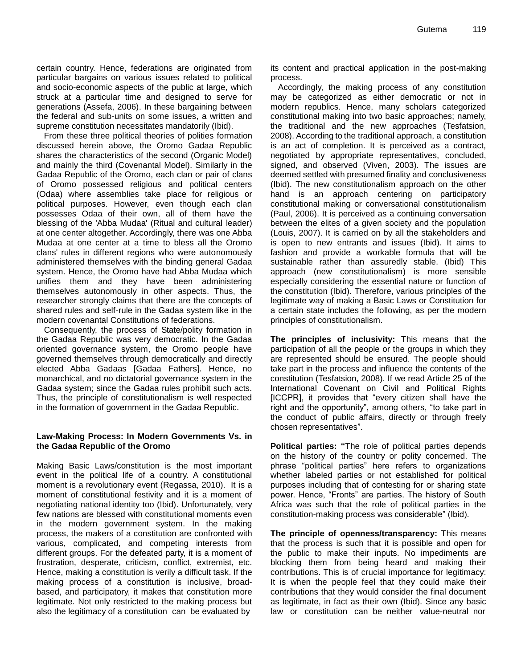certain country. Hence, federations are originated from particular bargains on various issues related to political and socio-economic aspects of the public at large, which struck at a particular time and designed to serve for generations (Assefa, 2006). In these bargaining between the federal and sub-units on some issues, a written and supreme constitution necessitates mandatorily (Ibid).

From these three political theories of polities formation discussed herein above, the Oromo Gadaa Republic shares the characteristics of the second (Organic Model) and mainly the third (Covenantal Model). Similarly in the Gadaa Republic of the Oromo, each clan or pair of clans of Oromo possessed religious and political centers (Odaa) where assemblies take place for religious or political purposes. However, even though each clan possesses Odaa of their own, all of them have the blessing of the 'Abba Mudaa' (Ritual and cultural leader) at one center altogether. Accordingly, there was one Abba Mudaa at one center at a time to bless all the Oromo clans' rules in different regions who were autonomously administered themselves with the binding general Gadaa system. Hence, the Oromo have had Abba Mudaa which unifies them and they have been administering themselves autonomously in other aspects. Thus, the researcher strongly claims that there are the concepts of shared rules and self-rule in the Gadaa system like in the modern covenantal Constitutions of federations.

Consequently, the process of State/polity formation in the Gadaa Republic was very democratic. In the Gadaa oriented governance system, the Oromo people have governed themselves through democratically and directly elected Abba Gadaas [Gadaa Fathers]. Hence, no monarchical, and no dictatorial governance system in the Gadaa system; since the Gadaa rules prohibit such acts. Thus, the principle of constitutionalism is well respected in the formation of government in the Gadaa Republic.

#### **Law-Making Process: In Modern Governments Vs. in the Gadaa Republic of the Oromo**

Making Basic Laws/constitution is the most important event in the political life of a country. A constitutional moment is a revolutionary event (Regassa, 2010). It is a moment of constitutional festivity and it is a moment of negotiating national identity too (Ibid). Unfortunately, very few nations are blessed with constitutional moments even in the modern government system. In the making process, the makers of a constitution are confronted with various, complicated, and competing interests from different groups. For the defeated party, it is a moment of frustration, desperate, criticism, conflict, extremist, etc. Hence, making a constitution is verily a difficult task. If the making process of a constitution is inclusive, broadbased, and participatory, it makes that constitution more legitimate. Not only restricted to the making process but also the legitimacy of a constitution can be evaluated by

its content and practical application in the post-making process.

Accordingly, the making process of any constitution may be categorized as either democratic or not in modern republics. Hence, many scholars categorized constitutional making into two basic approaches; namely, the traditional and the new approaches (Tesfatsion, 2008). According to the traditional approach, a constitution is an act of completion. It is perceived as a contract, negotiated by appropriate representatives, concluded, signed, and observed (Viven, 2003). The issues are deemed settled with presumed finality and conclusiveness (Ibid). The new constitutionalism approach on the other hand is an approach centering on participatory constitutional making or conversational constitutionalism (Paul, 2006). It is perceived as a continuing conversation between the elites of a given society and the population (Louis, 2007). It is carried on by all the stakeholders and is open to new entrants and issues (Ibid). It aims to fashion and provide a workable formula that will be sustainable rather than assuredly stable. (Ibid) This approach (new constitutionalism) is more sensible especially considering the essential nature or function of the constitution (Ibid). Therefore, various principles of the legitimate way of making a Basic Laws or Constitution for a certain state includes the following, as per the modern principles of constitutionalism.

**The principles of inclusivity:** This means that the participation of all the people or the groups in which they are represented should be ensured. The people should take part in the process and influence the contents of the constitution (Tesfatsion, 2008). If we read Article 25 of the International Covenant on Civil and Political Rights [ICCPR], it provides that "every citizen shall have the right and the opportunity", among others, "to take part in the conduct of public affairs, directly or through freely chosen representatives".

**Political parties: "**The role of political parties depends on the history of the country or polity concerned. The phrase "political parties" here refers to organizations whether labeled parties or not established for political purposes including that of contesting for or sharing state power. Hence, "Fronts" are parties. The history of South Africa was such that the role of political parties in the constitution-making process was considerable" (Ibid).

**The principle of openness/transparency:** This means that the process is such that it is possible and open for the public to make their inputs. No impediments are blocking them from being heard and making their contributions. This is of crucial importance for legitimacy: It is when the people feel that they could make their contributions that they would consider the final document as legitimate, in fact as their own (Ibid). Since any basic law or constitution can be neither value-neutral nor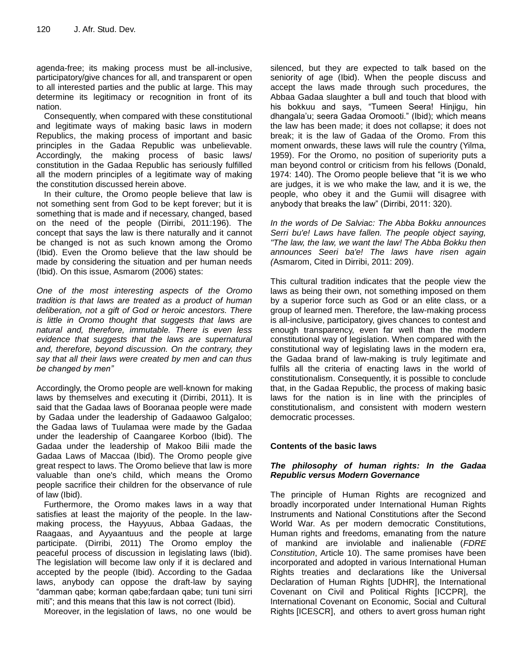agenda-free; its making process must be all-inclusive, participatory/give chances for all, and transparent or open to all interested parties and the public at large. This may determine its legitimacy or recognition in front of its nation.

Consequently, when compared with these constitutional and legitimate ways of making basic laws in modern Republics, the making process of important and basic principles in the Gadaa Republic was unbelievable. Accordingly, the making process of basic laws/ constitution in the Gadaa Republic has seriously fulfilled all the modern principles of a legitimate way of making the constitution discussed herein above.

In their culture, the Oromo people believe that law is not something sent from God to be kept forever; but it is something that is made and if necessary, changed, based on the need of the people (Dirribi, 2011:196). The concept that says the law is there naturally and it cannot be changed is not as such known among the Oromo (Ibid). Even the Oromo believe that the law should be made by considering the situation and per human needs (Ibid). On this issue, Asmarom (2006) states:

*One of the most interesting aspects of the Oromo tradition is that laws are treated as a product of human deliberation, not a gift of God or heroic ancestors. There is little in Oromo thought that suggests that laws are natural and, therefore, immutable. There is even less evidence that suggests that the laws are supernatural and, therefore, beyond discussion. On the contrary, they say that all their laws were created by men and can thus be changed by men"*

Accordingly, the Oromo people are well-known for making laws by themselves and executing it (Dirribi, 2011). It is said that the Gadaa laws of Booranaa people were made by Gadaa under the leadership of Gadaawoo Galgaloo; the Gadaa laws of Tuulamaa were made by the Gadaa under the leadership of Caangaree Korboo (Ibid). The Gadaa under the leadership of Makoo Bilii made the Gadaa Laws of Maccaa (Ibid). The Oromo people give great respect to laws. The Oromo believe that law is more valuable than one's child, which means the Oromo people sacrifice their children for the observance of rule of law (Ibid).

Furthermore, the Oromo makes laws in a way that satisfies at least the majority of the people. In the lawmaking process, the Hayyuus, Abbaa Gadaas, the Raagaas, and Ayyaantuus and the people at large participate. (Dirribi, 2011) The Oromo employ the peaceful process of discussion in legislating laws (Ibid). The legislation will become law only if it is declared and accepted by the people (Ibid). According to the Gadaa laws, anybody can oppose the draft-law by saying "damman qabe; korman qabe;fardaan qabe; tuni tuni sirri miti"; and this means that this law is not correct (Ibid).

Moreover, in the legislation of laws, no one would be

silenced, but they are expected to talk based on the seniority of age (Ibid). When the people discuss and accept the laws made through such procedures, the Abbaa Gadaa slaughter a bull and touch that blood with his bokkuu and says, "Tumeen Seera! Hinjigu, hin dhangala"u; seera Gadaa Oromooti." (Ibid); which means the law has been made; it does not collapse; it does not break; it is the law of Gadaa of the Oromo. From this moment onwards, these laws will rule the country (Yilma, 1959). For the Oromo, no position of superiority puts a man beyond control or criticism from his fellows (Donald, 1974: 140). The Oromo people believe that "it is we who are judges, it is we who make the law, and it is we, the people, who obey it and the Gumii will disagree with anybody that breaks the law" (Dirribi, 2011: 320).

*In the words of De Salviac: The Abba Bokku announces Serri bu'e! Laws have fallen. The people object saying, "The law, the law, we want the law! The Abba Bokku then announces Seeri ba'e! The laws have risen again (*Asmarom, Cited in Dirribi, 2011: 209).

This cultural tradition indicates that the people view the laws as being their own, not something imposed on them by a superior force such as God or an elite class, or a group of learned men. Therefore, the law-making process is all-inclusive, participatory, gives chances to contest and enough transparency, even far well than the modern constitutional way of legislation. When compared with the constitutional way of legislating laws in the modern era, the Gadaa brand of law-making is truly legitimate and fulfils all the criteria of enacting laws in the world of constitutionalism. Consequently, it is possible to conclude that, in the Gadaa Republic, the process of making basic laws for the nation is in line with the principles of constitutionalism, and consistent with modern western democratic processes.

#### **Contents of the basic laws**

#### *The philosophy of human rights: In the Gadaa Republic versus Modern Governance*

The principle of Human Rights are recognized and broadly incorporated under International Human Rights Instruments and National Constitutions after the Second World War. As per modern democratic Constitutions, Human rights and freedoms, emanating from the nature of mankind are inviolable and inalienable (*FDRE Constitution*, Article 10). The same promises have been incorporated and adopted in various International Human Rights treaties and declarations like the Universal Declaration of Human Rights [UDHR], the International Covenant on Civil and Political Rights [ICCPR], the International Covenant on Economic, Social and Cultural Rights [ICESCR], and others to avert gross human right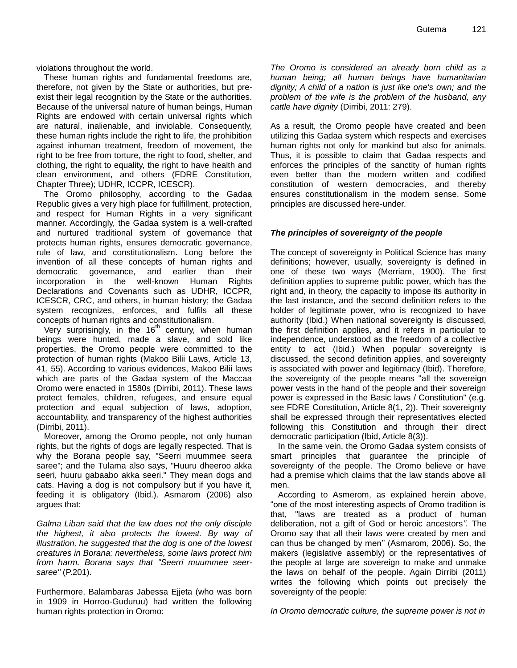violations throughout the world.

These human rights and fundamental freedoms are, therefore, not given by the State or authorities, but preexist their legal recognition by the State or the authorities. Because of the universal nature of human beings, Human Rights are endowed with certain universal rights which are natural, inalienable, and inviolable. Consequently, these human rights include the right to life, the prohibition against inhuman treatment, freedom of movement, the right to be free from torture, the right to food, shelter, and clothing, the right to equality, the right to have health and clean environment, and others (FDRE Constitution, Chapter Three); UDHR, ICCPR, ICESCR).

The Oromo philosophy, according to the Gadaa Republic gives a very high place for fulfillment, protection, and respect for Human Rights in a very significant manner. Accordingly, the Gadaa system is a well-crafted and nurtured traditional system of governance that protects human rights, ensures democratic governance, rule of law, and constitutionalism. Long before the invention of all these concepts of human rights and democratic governance, and earlier than their incorporation in the well-known Human Rights Declarations and Covenants such as UDHR, ICCPR, ICESCR, CRC, and others, in human history; the Gadaa system recognizes, enforces, and fulfils all these concepts of human rights and constitutionalism.

Very surprisingly, in the  $16<sup>th</sup>$  century, when human beings were hunted, made a slave, and sold like properties, the Oromo people were committed to the protection of human rights (Makoo Bilii Laws, Article 13, 41, 55). According to various evidences, Makoo Bilii laws which are parts of the Gadaa system of the Maccaa Oromo were enacted in 1580s (Dirribi, 2011). These laws protect females, children, refugees, and ensure equal protection and equal subjection of laws, adoption, accountability, and transparency of the highest authorities (Dirribi, 2011).

Moreover, among the Oromo people, not only human rights, but the rights of dogs are legally respected. That is why the Borana people say, "Seerri muummee seera saree"; and the Tulama also says, "Huuru dheeroo akka seeri, huuru gabaabo akka seeri." They mean dogs and cats. Having a dog is not compulsory but if you have it, feeding it is obligatory (Ibid.). Asmarom (2006) also argues that:

*Galma Liban said that the law does not the only disciple the highest, it also protects the lowest. By way of illustration, he suggested that the dog is one of the lowest creatures in Borana: nevertheless, some laws protect him from harm. Borana says that "Seerri muummee seersaree"* (P.201).

Furthermore, Balambaras Jabessa Ejjeta (who was born in 1909 in Horroo-Guduruu) had written the following human rights protection in Oromo:

*The Oromo is considered an already born child as a human being; all human beings have humanitarian dignity; A child of a nation is just like one's own; and the problem of the wife is the problem of the husband, any cattle have dignity* (Dirribi, 2011: 279).

As a result, the Oromo people have created and been utilizing this Gadaa system which respects and exercises human rights not only for mankind but also for animals. Thus, it is possible to claim that Gadaa respects and enforces the principles of the sanctity of human rights even better than the modern written and codified constitution of western democracies, and thereby ensures constitutionalism in the modern sense. Some principles are discussed here-under.

#### *The principles of sovereignty of the people*

The concept of sovereignty in Political Science has many definitions; however, usually, sovereignty is defined in one of these two ways (Merriam, 1900). The first definition applies to supreme public power, which has the right and, in theory, the capacity to impose its authority in the last instance, and the second definition refers to the holder of legitimate power, who is recognized to have authority (Ibid.) When national sovereignty is discussed, the first definition applies, and it refers in particular to independence, understood as the freedom of a collective entity to act (Ibid.) When popular sovereignty is discussed, the second definition applies, and sovereignty is associated with power and legitimacy (Ibid). Therefore, the sovereignty of the people means "all the sovereign power vests in the hand of the people and their sovereign power is expressed in the Basic laws / Constitution" (e.g. see FDRE Constitution, Article 8(1, 2)). Their sovereignty shall be expressed through their representatives elected following this Constitution and through their direct democratic participation (Ibid, Article 8(3)).

In the same vein, the Oromo Gadaa system consists of smart principles that guarantee the principle of sovereignty of the people. The Oromo believe or have had a premise which claims that the law stands above all men.

According to Asmerom, as explained herein above, "one of the most interesting aspects of Oromo tradition is that, "laws are treated as a product of human deliberation, not a gift of God or heroic ancestors*".* The Oromo say that all their laws were created by men and can thus be changed by men" (Asmarom, 2006). So, the makers (legislative assembly) or the representatives of the people at large are sovereign to make and unmake the laws on behalf of the people. Again Dirribi (2011) writes the following which points out precisely the sovereignty of the people:

In Oromo democratic culture, the supreme power is not in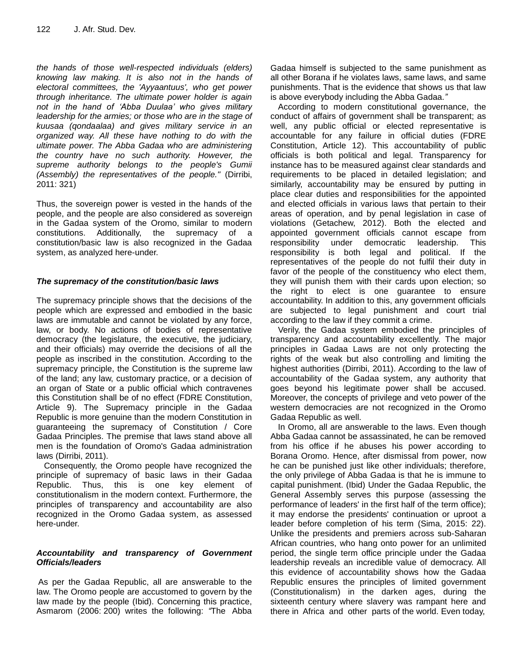*the hands of those well-respected individuals (elders) knowing law making. It is also not in the hands of electoral committees, the 'Ayyaantuus', who get power through inheritance. The ultimate power holder is again not in the hand of "Abba Duulaa" who gives military leadership for the armies; or those who are in the stage of kuusaa (qondaalaa) and gives military service in an organized way. All these have nothing to do with the ultimate power. The Abba Gadaa who are administering the country have no such authority. However, the supreme authority belongs to the people's Gumii (Assembly) the representatives of the people."* (Dirribi, 2011: 321)

Thus, the sovereign power is vested in the hands of the people, and the people are also considered as sovereign in the Gadaa system of the Oromo, similar to modern constitutions. Additionally, the supremacy of a constitution/basic law is also recognized in the Gadaa system, as analyzed here-under.

## *The supremacy of the constitution/basic laws*

The supremacy principle shows that the decisions of the people which are expressed and embodied in the basic laws are immutable and cannot be violated by any force, law, or body. No actions of bodies of representative democracy (the legislature, the executive, the judiciary, and their officials) may override the decisions of all the people as inscribed in the constitution. According to the supremacy principle, the Constitution is the supreme law of the land; any law, customary practice, or a decision of an organ of State or a public official which contravenes this Constitution shall be of no effect (FDRE Constitution, Article 9). The Supremacy principle in the Gadaa Republic is more genuine than the modern Constitution in guaranteeing the supremacy of Constitution / Core Gadaa Principles. The premise that laws stand above all men is the foundation of Oromo's Gadaa administration laws (Dirribi, 2011).

Consequently, the Oromo people have recognized the principle of supremacy of basic laws in their Gadaa Republic. Thus, this is one key element of constitutionalism in the modern context. Furthermore, the principles of transparency and accountability are also recognized in the Oromo Gadaa system, as assessed here-under.

## *Accountability and transparency of Government Officials/leaders*

As per the Gadaa Republic, all are answerable to the law. The Oromo people are accustomed to govern by the law made by the people (Ibid). Concerning this practice, Asmarom (2006: 200) writes the following: *"*The Abba

Gadaa himself is subjected to the same punishment as all other Borana if he violates laws, same laws, and same punishments. That is the evidence that shows us that law is above everybody including the Abba Gadaa.*"* 

According to modern constitutional governance, the conduct of affairs of government shall be transparent; as well, any public official or elected representative is accountable for any failure in official duties (FDRE Constitution, Article 12). This accountability of public officials is both political and legal. Transparency for instance has to be measured against clear standards and requirements to be placed in detailed legislation; and similarly, accountability may be ensured by putting in place clear duties and responsibilities for the appointed and elected officials in various laws that pertain to their areas of operation, and by penal legislation in case of violations (Getachew, 2012). Both the elected and appointed government officials cannot escape from responsibility under democratic leadership. This responsibility is both legal and political. If the representatives of the people do not fulfil their duty in favor of the people of the constituency who elect them, they will punish them with their cards upon election; so the right to elect is one guarantee to ensure accountability. In addition to this, any government officials are subjected to legal punishment and court trial according to the law if they commit a crime.

Verily, the Gadaa system embodied the principles of transparency and accountability excellently. The major principles in Gadaa Laws are not only protecting the rights of the weak but also controlling and limiting the highest authorities (Dirribi, 2011). According to the law of accountability of the Gadaa system, any authority that goes beyond his legitimate power shall be accused. Moreover, the concepts of privilege and veto power of the western democracies are not recognized in the Oromo Gadaa Republic as well.

In Oromo, all are answerable to the laws. Even though Abba Gadaa cannot be assassinated, he can be removed from his office if he abuses his power according to Borana Oromo. Hence, after dismissal from power, now he can be punished just like other individuals; therefore, the only privilege of Abba Gadaa is that he is immune to capital punishment. (Ibid) Under the Gadaa Republic, the General Assembly serves this purpose (assessing the performance of leaders' in the first half of the term office); it may endorse the presidents' continuation or uproot a leader before completion of his term (Sima, 2015: 22). Unlike the presidents and premiers across sub-Saharan African countries, who hang onto power for an unlimited period, the single term office principle under the Gadaa leadership reveals an incredible value of democracy. All this evidence of accountability shows how the Gadaa Republic ensures the principles of limited government (Constitutionalism) in the darken ages, during the sixteenth century where slavery was rampant here and there in Africa and other parts of the world. Even today,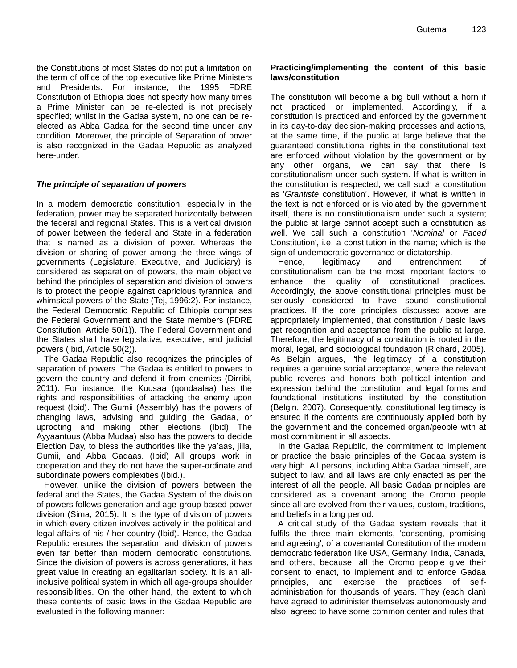the Constitutions of most States do not put a limitation on the term of office of the top executive like Prime Ministers and Presidents. For instance, the 1995 FDRE Constitution of Ethiopia does not specify how many times a Prime Minister can be re-elected is not precisely specified; whilst in the Gadaa system, no one can be reelected as Abba Gadaa for the second time under any condition. Moreover, the principle of Separation of power is also recognized in the Gadaa Republic as analyzed here-under.

#### *The principle of separation of powers*

In a modern democratic constitution, especially in the federation, power may be separated horizontally between the federal and regional States. This is a vertical division of power between the federal and State in a federation that is named as a division of power. Whereas the division or sharing of power among the three wings of governments (Legislature, Executive, and Judiciary) is considered as separation of powers, the main objective behind the principles of separation and division of powers is to protect the people against capricious tyrannical and whimsical powers of the State (Tej, 1996:2). For instance, the Federal Democratic Republic of Ethiopia comprises the Federal Government and the State members (FDRE Constitution, Article 50(1)). The Federal Government and the States shall have legislative, executive, and judicial powers (Ibid, Article 50(2)).

The Gadaa Republic also recognizes the principles of separation of powers. The Gadaa is entitled to powers to govern the country and defend it from enemies (Dirribi, 2011). For instance, the Kuusaa (qondaalaa) has the rights and responsibilities of attacking the enemy upon request (Ibid). The Gumii (Assembly) has the powers of changing laws, advising and guiding the Gadaa, or uprooting and making other elections (Ibid) The Ayyaantuus (Abba Mudaa) also has the powers to decide Election Day, to bless the authorities like the ya"aas, jiila, Gumii, and Abba Gadaas. (Ibid) All groups work in cooperation and they do not have the super-ordinate and subordinate powers complexities (Ibid.).

However, unlike the division of powers between the federal and the States, the Gadaa System of the division of powers follows generation and age-group-based power division (Sima, 2015). It is the type of division of powers in which every citizen involves actively in the political and legal affairs of his / her country (Ibid). Hence, the Gadaa Republic ensures the separation and division of powers even far better than modern democratic constitutions. Since the division of powers is across generations, it has great value in creating an egalitarian society. It is an allinclusive political system in which all age-groups shoulder responsibilities. On the other hand, the extent to which these contents of basic laws in the Gadaa Republic are evaluated in the following manner:

#### **Practicing/implementing the content of this basic laws/constitution**

The constitution will become a big bull without a horn if not practiced or implemented. Accordingly, if a constitution is practiced and enforced by the government in its day-to-day decision-making processes and actions, at the same time, if the public at large believe that the guaranteed constitutional rights in the constitutional text are enforced without violation by the government or by any other organs, we can say that there is constitutionalism under such system. If what is written in the constitution is respected, we call such a constitution as '*Grantiste* constitution". However, if what is written in the text is not enforced or is violated by the government itself, there is no constitutionalism under such a system; the public at large cannot accept such a constitution as well. We call such a constitution '*Nominal* or *Faced* Constitution', i.e. a constitution in the name; which is the sign of undemocratic governance or dictatorship.

Hence, legitimacy and entrenchment of constitutionalism can be the most important factors to enhance the quality of constitutional practices. Accordingly, the above constitutional principles must be seriously considered to have sound constitutional practices. If the core principles discussed above are appropriately implemented, that constitution / basic laws get recognition and acceptance from the public at large. Therefore, the legitimacy of a constitution is rooted in the moral, legal, and sociological foundation (Richard, 2005). As Belgin argues, "the legitimacy of a constitution requires a genuine social acceptance, where the relevant public reveres and honors both political intention and expression behind the constitution and legal forms and foundational institutions instituted by the constitution (Belgin, 2007). Consequently, constitutional legitimacy is ensured if the contents are continuously applied both by the government and the concerned organ/people with at most commitment in all aspects.

In the Gadaa Republic, the commitment to implement or practice the basic principles of the Gadaa system is very high. All persons, including Abba Gadaa himself, are subject to law, and all laws are only enacted as per the interest of all the people. All basic Gadaa principles are considered as a covenant among the Oromo people since all are evolved from their values, custom, traditions, and beliefs in a long period.

A critical study of the Gadaa system reveals that it fulfils the three main elements, 'consenting, promising and agreeing', of a covenantal Constitution of the modern democratic federation like USA, Germany, India, Canada, and others, because, all the Oromo people give their consent to enact, to implement and to enforce Gadaa principles, and exercise the practices of selfadministration for thousands of years. They (each clan) have agreed to administer themselves autonomously and also agreed to have some common center and rules that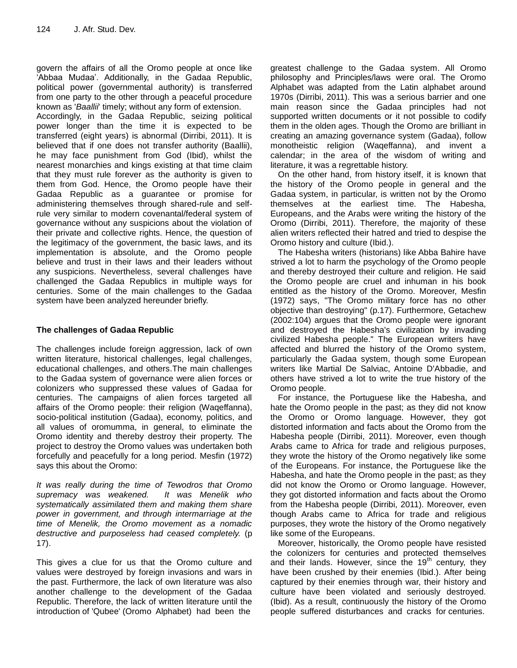govern the affairs of all the Oromo people at once like "Abbaa Mudaa". Additionally, in the Gadaa Republic, political power (governmental authority) is transferred from one party to the other through a peaceful procedure known as '*Baallii*' timely; without any form of extension.

Accordingly, in the Gadaa Republic, seizing political power longer than the time it is expected to be transferred (eight years) is abnormal (Dirribi, 2011). It is believed that if one does not transfer authority (Baallii), he may face punishment from God (Ibid), whilst the nearest monarchies and kings existing at that time claim that they must rule forever as the authority is given to them from God. Hence, the Oromo people have their Gadaa Republic as a guarantee or promise for administering themselves through shared-rule and selfrule very similar to modern covenantal/federal system of governance without any suspicions about the violation of their private and collective rights. Hence, the question of the legitimacy of the government, the basic laws, and its implementation is absolute, and the Oromo people believe and trust in their laws and their leaders without any suspicions. Nevertheless, several challenges have challenged the Gadaa Republics in multiple ways for centuries. Some of the main challenges to the Gadaa system have been analyzed hereunder briefly.

## **The challenges of Gadaa Republic**

The challenges include foreign aggression, lack of own written literature, historical challenges, legal challenges, educational challenges, and others.The main challenges to the Gadaa system of governance were alien forces or colonizers who suppressed these values of Gadaa for centuries. The campaigns of alien forces targeted all affairs of the Oromo people: their religion (Waqeffanna), socio-political institution (Gadaa), economy, politics, and all values of oromumma, in general, to eliminate the Oromo identity and thereby destroy their property. The project to destroy the Oromo values was undertaken both forcefully and peacefully for a long period. Mesfin (1972) says this about the Oromo:

*It was really during the time of Tewodros that Oromo supremacy was weakened. It was Menelik who systematically assimilated them and making them share power in government, and through intermarriage at the time of Menelik, the Oromo movement as a nomadic destructive and purposeless had ceased completely.* (p 17).

This gives a clue for us that the Oromo culture and values were destroyed by foreign invasions and wars in the past. Furthermore, the lack of own literature was also another challenge to the development of the Gadaa Republic. Therefore, the lack of written literature until the introduction of 'Qubee' (Oromo Alphabet) had been the

greatest challenge to the Gadaa system. All Oromo philosophy and Principles/laws were oral. The Oromo Alphabet was adapted from the Latin alphabet around 1970s (Dirribi, 2011). This was a serious barrier and one main reason since the Gadaa principles had not supported written documents or it not possible to codify them in the olden ages. Though the Oromo are brilliant in creating an amazing governance system (Gadaa), follow monotheistic religion (Waqeffanna), and invent a calendar; in the area of the wisdom of writing and literature, it was a regrettable history.

On the other hand, from history itself, it is known that the history of the Oromo people in general and the Gadaa system, in particular, is written not by the Oromo themselves at the earliest time. The Habesha, Europeans, and the Arabs were writing the history of the Oromo (Dirribi, 2011). Therefore, the majority of these alien writers reflected their hatred and tried to despise the Oromo history and culture (Ibid.).

The Habesha writers (historians) like Abba Bahire have strived a lot to harm the psychology of the Oromo people and thereby destroyed their culture and religion. He said the Oromo people are cruel and inhuman in his book entitled as the history of the Oromo. Moreover, Mesfin (1972) says, "The Oromo military force has no other objective than destroying" (p.17). Furthermore, Getachew (2002:104) argues that the Oromo people were ignorant and destroyed the Habesha's civilization by invading civilized Habesha people." The European writers have affected and blurred the history of the Oromo system, particularly the Gadaa system, though some European writers like Martial De Salviac, Antoine D'Abbadie, and others have strived a lot to write the true history of the Oromo people.

For instance, the Portuguese like the Habesha, and hate the Oromo people in the past; as they did not know the Oromo or Oromo language. However, they got distorted information and facts about the Oromo from the Habesha people (Dirribi, 2011). Moreover, even though Arabs came to Africa for trade and religious purposes, they wrote the history of the Oromo negatively like some of the Europeans. For instance, the Portuguese like the Habesha, and hate the Oromo people in the past; as they did not know the Oromo or Oromo language. However, they got distorted information and facts about the Oromo from the Habesha people (Dirribi, 2011). Moreover, even though Arabs came to Africa for trade and religious purposes, they wrote the history of the Oromo negatively like some of the Europeans.

Moreover, historically, the Oromo people have resisted the colonizers for centuries and protected themselves and their lands. However, since the  $19<sup>th</sup>$  century, they have been crushed by their enemies (Ibid.). After being captured by their enemies through war, their history and culture have been violated and seriously destroyed. (Ibid). As a result, continuously the history of the Oromo people suffered disturbances and cracks for centuries.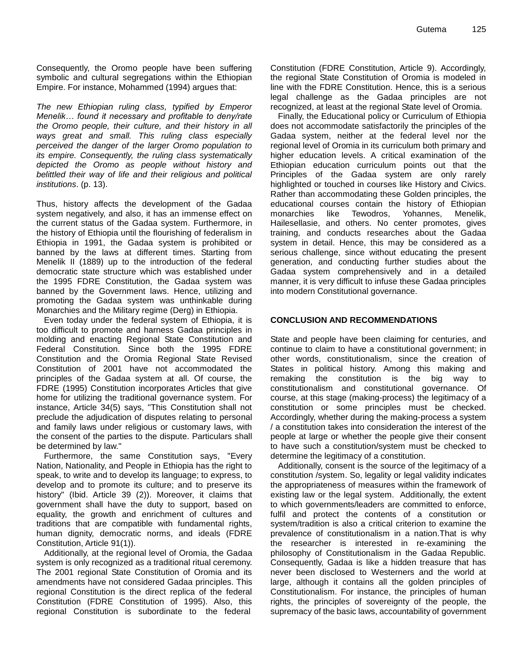Consequently, the Oromo people have been suffering symbolic and cultural segregations within the Ethiopian Empire. For instance, Mohammed (1994) argues that:

*The new Ethiopian ruling class, typified by Emperor Menelik… found it necessary and profitable to deny/rate the Oromo people, their culture, and their history in all ways great and small. This ruling class especially perceived the danger of the larger Oromo population to its empire. Consequently, the ruling class systematically depicted the Oromo as people without history and belittled their way of life and their religious and political institutions*. (p. 13).

Thus, history affects the development of the Gadaa system negatively, and also, it has an immense effect on the current status of the Gadaa system. Furthermore, in the history of Ethiopia until the flourishing of federalism in Ethiopia in 1991, the Gadaa system is prohibited or banned by the laws at different times. Starting from Menelik II (1889) up to the introduction of the federal democratic state structure which was established under the 1995 FDRE Constitution, the Gadaa system was banned by the Government laws. Hence, utilizing and promoting the Gadaa system was unthinkable during Monarchies and the Military regime (Derg) in Ethiopia.

Even today under the federal system of Ethiopia, it is too difficult to promote and harness Gadaa principles in molding and enacting Regional State Constitution and Federal Constitution. Since both the 1995 FDRE Constitution and the Oromia Regional State Revised Constitution of 2001 have not accommodated the principles of the Gadaa system at all. Of course, the FDRE (1995) Constitution incorporates Articles that give home for utilizing the traditional governance system. For instance, Article 34(5) says, "This Constitution shall not preclude the adjudication of disputes relating to personal and family laws under religious or customary laws, with the consent of the parties to the dispute. Particulars shall be determined by law."

Furthermore, the same Constitution says, "Every Nation, Nationality, and People in Ethiopia has the right to speak, to write and to develop its language; to express, to develop and to promote its culture; and to preserve its history" (Ibid. Article 39 (2)). Moreover, it claims that government shall have the duty to support, based on equality, the growth and enrichment of cultures and traditions that are compatible with fundamental rights, human dignity, democratic norms, and ideals (FDRE Constitution, Article 91(1)).

Additionally, at the regional level of Oromia, the Gadaa system is only recognized as a traditional ritual ceremony. The 2001 regional State Constitution of Oromia and its amendments have not considered Gadaa principles. This regional Constitution is the direct replica of the federal Constitution (FDRE Constitution of 1995). Also, this regional Constitution is subordinate to the federal

Constitution (FDRE Constitution, Article 9). Accordingly, the regional State Constitution of Oromia is modeled in line with the FDRE Constitution. Hence, this is a serious legal challenge as the Gadaa principles are not recognized, at least at the regional State level of Oromia.

Finally, the Educational policy or Curriculum of Ethiopia does not accommodate satisfactorily the principles of the Gadaa system, neither at the federal level nor the regional level of Oromia in its curriculum both primary and higher education levels. A critical examination of the Ethiopian education curriculum points out that the Principles of the Gadaa system are only rarely highlighted or touched in courses like History and Civics. Rather than accommodating these Golden principles, the educational courses contain the history of Ethiopian monarchies like Tewodros, Yohannes, Menelik, Hailesellasie, and others. No center promotes, gives training, and conducts researches about the Gadaa system in detail. Hence, this may be considered as a serious challenge, since without educating the present generation, and conducting further studies about the Gadaa system comprehensively and in a detailed manner, it is very difficult to infuse these Gadaa principles into modern Constitutional governance.

#### **CONCLUSION AND RECOMMENDATIONS**

State and people have been claiming for centuries, and continue to claim to have a constitutional government; in other words, constitutionalism, since the creation of States in political history. Among this making and remaking the constitution is the big way to constitutionalism and constitutional governance. Of course, at this stage (making-process) the legitimacy of a constitution or some principles must be checked. Accordingly, whether during the making-process a system / a constitution takes into consideration the interest of the people at large or whether the people give their consent to have such a constitution/system must be checked to determine the legitimacy of a constitution.

Additionally, consent is the source of the legitimacy of a constitution /system. So, legality or legal validity indicates the appropriateness of measures within the framework of existing law or the legal system. Additionally, the extent to which governments/leaders are committed to enforce, fulfil and protect the contents of a constitution or system/tradition is also a critical criterion to examine the prevalence of constitutionalism in a nation.That is why the researcher is interested in re-examining the philosophy of Constitutionalism in the Gadaa Republic. Consequently, Gadaa is like a hidden treasure that has never been disclosed to Westerners and the world at large, although it contains all the golden principles of Constitutionalism. For instance, the principles of human rights, the principles of sovereignty of the people, the supremacy of the basic laws, accountability of government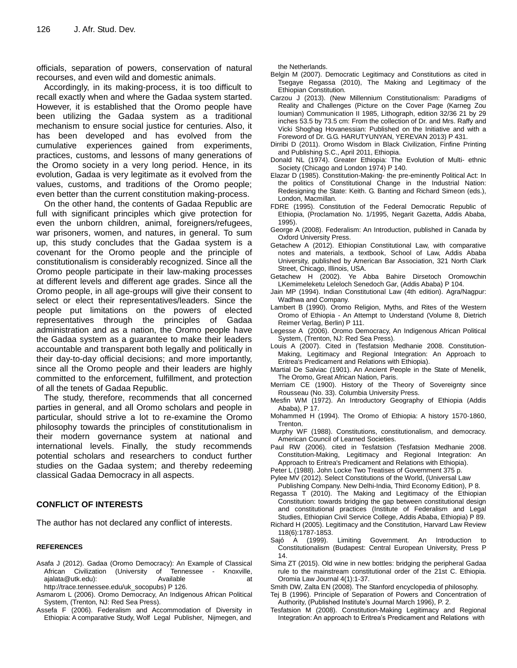officials, separation of powers, conservation of natural recourses, and even wild and domestic animals.

Accordingly, in its making-process, it is too difficult to recall exactly when and where the Gadaa system started. However, it is established that the Oromo people have been utilizing the Gadaa system as a traditional mechanism to ensure social justice for centuries. Also, it has been developed and has evolved from the cumulative experiences gained from experiments, practices, customs, and lessons of many generations of the Oromo society in a very long period. Hence, in its evolution, Gadaa is very legitimate as it evolved from the values, customs, and traditions of the Oromo people; even better than the current constitution making-process.

On the other hand, the contents of Gadaa Republic are full with significant principles which give protection for even the unborn children, animal, foreigners/refugees, war prisoners, women, and natures, in general. To sum up, this study concludes that the Gadaa system is a covenant for the Oromo people and the principle of constitutionalism is considerably recognized. Since all the Oromo people participate in their law-making processes at different levels and different age grades. Since all the Oromo people, in all age-groups will give their consent to select or elect their representatives/leaders. Since the people put limitations on the powers of elected representatives through the principles of Gadaa administration and as a nation, the Oromo people have the Gadaa system as a guarantee to make their leaders accountable and transparent both legally and politically in their day-to-day official decisions; and more importantly, since all the Oromo people and their leaders are highly committed to the enforcement, fulfillment, and protection of all the tenets of Gadaa Republic.

The study, therefore, recommends that all concerned parties in general, and all Oromo scholars and people in particular, should strive a lot to re-examine the Oromo philosophy towards the principles of constitutionalism in their modern governance system at national and international levels. Finally, the study recommends potential scholars and researchers to conduct further studies on the Gadaa system; and thereby redeeming classical Gadaa Democracy in all aspects.

#### **CONFLICT OF INTERESTS**

The author has not declared any conflict of interests.

#### **REFERENCES**

- Asafa J (2012). Gadaa (Oromo Democracy): An Example of Classical African Civilization (University of Tennessee - Knoxville, ajalata@utk.edu): Available **Available** at http://trace.tennessee.edu/uk\_socopubs) P 126.
- Asmarom L (2006). Oromo Democracy, An Indigenous African Political System, (Trenton, NJ: Red Sea Press).
- Assefa F (2006). Federalism and Accommodation of Diversity in Ethiopia: A comparative Study, Wolf Legal Publisher, Nijmegen, and

the Netherlands.

- Belgin M (2007). Democratic Legitimacy and Constitutions as cited in Tsegaye Regassa (2010), The Making and Legitimacy of the Ethiopian Constitution.
- Carzou J (2013). (New Millennium Constitutionalism: Paradigms of Reality and Challenges (Picture on the Cover Page (Karneg Zou loumian) Communication II 1985, Lithograph, edition 32/36 21 by 29 inches 53.5 by 73.5 cm: From the collection of Dr. and Mrs. Raffy and Vicki Shoghag Hovanessian: Published on the Initiative and with a Foreword of Dr. G.G. HARUTYUNYAN, YEREVAN 2013) P 431.
- Dirribi D (2011). Oromo Wisdom in Black Civilization, Finfine Printing and Publishing S.C., April 2011, Ethiopia.
- Donald NL (1974). Greater Ethiopia: The Evolution of Multi- ethnic Society (Chicago and London 1974) P 140.
- Elazar D (1985). Constitution-Making- the pre-eminently Political Act: In the politics of Constitutional Change in the Industrial Nation: Redesigning the State: Keith. G. Banting and Richard Simeon (eds.), London, Macmillan.
- FDRE (1995). Constitution of the Federal Democratic Republic of Ethiopia, (Proclamation No. 1/1995, Negarit Gazetta, Addis Ababa, 1995).
- George A (2008). Federalism: An Introduction, published in Canada by Oxford University Press.
- Getachew A (2012). Ethiopian Constitutional Law, with comparative notes and materials, a textbook, School of Law, Addis Ababa University, published by American Bar Association, 321 North Clark Street, Chicago, Illinois, USA.
- Getachew H (2002). Ye Abba Bahire Dirsetoch Oromowchin LKemimeleketu Leleloch Senedoch Gar, (Addis Ababa) P 104.
- Jain MP (1994). Indian Constitutional Law (4th edition). Agra/Nagpur: Wadhwa and Company.
- Lambert B (1990). Oromo Religion, Myths, and Rites of the Western Oromo of Ethiopia - An Attempt to Understand (Volume 8, Dietrich Reimer Verlag, Berlin) P 111.
- Legesse A (2006). Oromo Democracy, An Indigenous African Political System, (Trenton, NJ: Red Sea Press).
- Louis A (2007). Cited in (Tesfatsion Medhanie 2008. Constitution-Making, Legitimacy and Regional Integration: An Approach to Eritrea's Predicament and Relations with Ethiopia).
- Martial De Salviac (1901). An Ancient People in the State of Menelik, The Oromo, Great African Nation, Paris.
- Merriam CE (1900). History of the Theory of Sovereignty since Rousseau (No. 33). Columbia University Press.
- Mesfin WM (1972). An Introductory Geography of Ethiopia (Addis Ababa), P 17.
- Mohammed H (1994). The Oromo of Ethiopia: A history 1570-1860, Trenton.
- Murphy WF (1988). Constitutions, constitutionalism, and democracy. American Council of Learned Societies.
- Paul RW (2006). cited in Tesfatsion (Tesfatsion Medhanie 2008. Constitution-Making, Legitimacy and Regional Integration: An Approach to Eritrea's Predicament and Relations with Ethiopia).
- Peter L (1988). John Locke Two Treatises of Government 375 p.
- Pylee MV (2012). Select Constitutions of the World, (Universal Law
- Publishing Company. New Delhi-India, Third Economy Edition), P 8.
- Regassa T (2010). The Making and Legitimacy of the Ethiopian Constitution: towards bridging the gap between constitutional design and constitutional practices (Institute of Federalism and Legal Studies, Ethiopian Civil Service College, Addis Ababa, Ethiopia) P 89.
- Richard H (2005). Legitimacy and the Constitution, Harvard Law Review 118(6):1787-1853.
- Sajó A (1999). Limiting Government. An Introduction to Constitutionalism (Budapest: Central European University, Press P 14.
- Sima ZT (2015). Old wine in new bottles: bridging the peripheral Gadaa rule to the mainstream constitutional order of the 21st C. Ethiopia. Oromia Law Journal 4(1):1-37.
- Smith DW, Zalta EN (2008). The Stanford encyclopedia of philosophy.
- Tej B (1996). Principle of Separation of Powers and Concentration of Authority, (Published Institute"s Journal March 1996), P. 2.
- Tesfatsion M (2008). Constitution-Making Legitimacy and Regional Integration: An approach to Eritrea's Predicament and Relations with